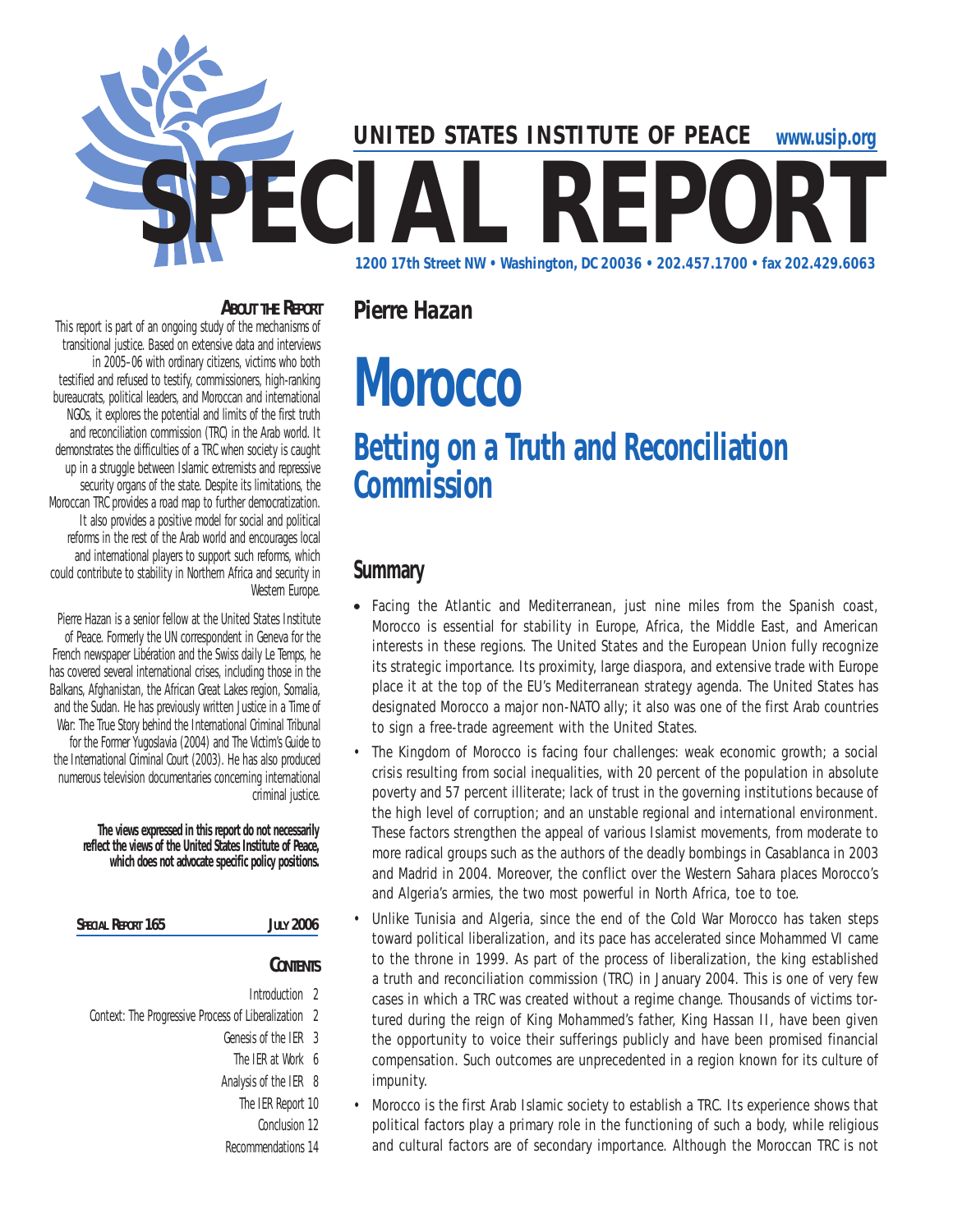

#### **About the Report**

This report is part of an ongoing study of the mechanisms of transitional justice. Based on extensive data and interviews in 2005–06 with ordinary citizens, victims who both testified and refused to testify, commissioners, high-ranking bureaucrats, political leaders, and Moroccan and international NGOs, it explores the potential and limits of the first truth and reconciliation commission (TRC) in the Arab world. It demonstrates the difficulties of a TRC when society is caught up in a struggle between Islamic extremists and repressive security organs of the state. Despite its limitations, the Moroccan TRC provides a road map to further democratization. It also provides a positive model for social and political reforms in the rest of the Arab world and encourages local and international players to support such reforms, which could contribute to stability in Northern Africa and security in Western Europe.

Pierre Hazan is a senior fellow at the United States Institute of Peace. Formerly the UN correspondent in Geneva for the French newspaper *Libération* and the Swiss daily *Le Temps*, he has covered several international crises, including those in the Balkans, Afghanistan, the African Great Lakes region, Somalia, and the Sudan. He has previously written *Justice in a Time of War: The True Story behind the International Criminal Tribunal for the Former Yugoslavia* (2004) and *The Victim's Guide to the International Criminal Court* (2003). He has also produced numerous television documentaries concerning international criminal justice.

> **The views expressed in this report do not necessarily reflect the views of the United States Institute of Peace, which does not advocate specific policy positions.**

| SPECIAL REPORT 165<br><b>JULY 2006</b>               |  |
|------------------------------------------------------|--|
| <b>CONTENTS</b>                                      |  |
| Introduction 2                                       |  |
| Context: The Progressive Process of Liberalization 2 |  |
| Genesis of the IFR 3                                 |  |

- The IER at Work 6
- Analysis of the IER 8
- The IER Report 10
- Conclusion 12
- Recommendations 14

**Morocco**

*Pierre Hazan* 

# **Betting on a Truth and Reconciliation Commission**

# **Summary**

- Facing the Atlantic and Mediterranean, just nine miles from the Spanish coast, Morocco is essential for stability in Europe, Africa, the Middle East, and American interests in these regions. The United States and the European Union fully recognize its strategic importance. Its proximity, large diaspora, and extensive trade with Europe place it at the top of the EU's Mediterranean strategy agenda. The United States has designated Morocco a major non-NATO ally; it also was one of the first Arab countries to sign a free-trade agreement with the United States.
- The Kingdom of Morocco is facing four challenges: weak economic growth; a social crisis resulting from social inequalities, with 20 percent of the population in absolute poverty and 57 percent illiterate; lack of trust in the governing institutions because of the high level of corruption; and an unstable regional and international environment. These factors strengthen the appeal of various Islamist movements, from moderate to more radical groups such as the authors of the deadly bombings in Casablanca in 2003 and Madrid in 2004. Moreover, the conflict over the Western Sahara places Morocco's and Algeria's armies, the two most powerful in North Africa, toe to toe.
- Unlike Tunisia and Algeria, since the end of the Cold War Morocco has taken steps toward political liberalization, and its pace has accelerated since Mohammed VI came to the throne in 1999. As part of the process of liberalization, the king established a truth and reconciliation commission (TRC) in January 2004. This is one of very few cases in which a TRC was created without a regime change. Thousands of victims tortured during the reign of King Mohammed's father, King Hassan II, have been given the opportunity to voice their sufferings publicly and have been promised financial compensation. Such outcomes are unprecedented in a region known for its culture of impunity.
- Morocco is the first Arab Islamic society to establish a TRC. Its experience shows that political factors play a primary role in the functioning of such a body, while religious and cultural factors are of secondary importance. Although the Moroccan TRC is not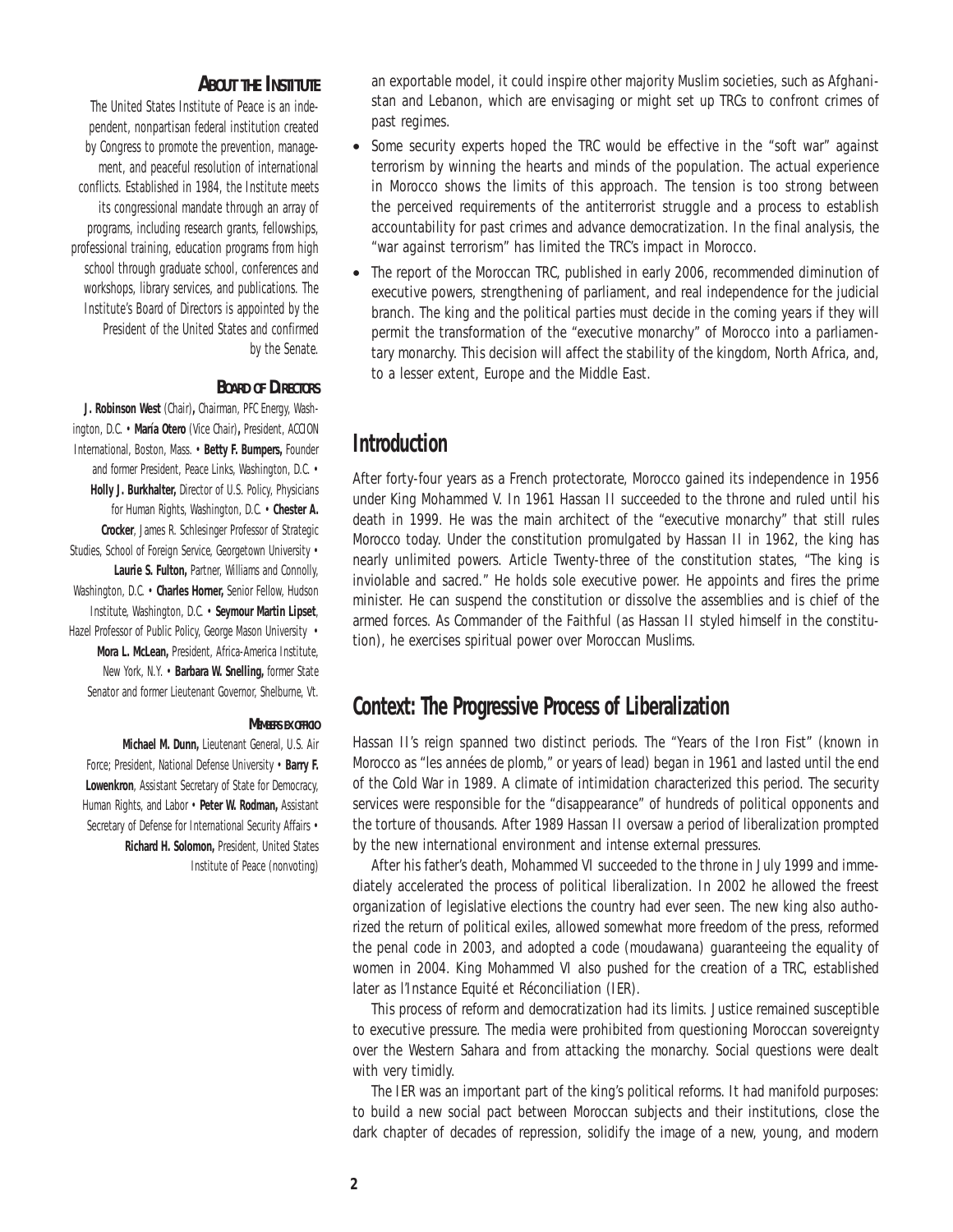#### **About the Institute**

The United States Institute of Peace is an independent, nonpartisan federal institution created by Congress to promote the prevention, management, and peaceful resolution of international conflicts. Established in 1984, the Institute meets its congressional mandate through an array of programs, including research grants, fellowships, professional training, education programs from high school through graduate school, conferences and workshops, library services, and publications. The Institute's Board of Directors is appointed by the President of the United States and confirmed by the Senate.

#### **Board of Directors**

**J. Robinson West** (Chair)**,** Chairman, PFC Energy, Washington, D.C. • **María Otero** (Vice Chair)**,** President, ACCION International, Boston, Mass. • **Betty F. Bumpers,** Founder and former President, Peace Links, Washington, D.C. • **Holly J. Burkhalter,** Director of U.S. Policy, Physicians for Human Rights, Washington, D.C. • **Chester A. Crocker**, James R. Schlesinger Professor of Strategic Studies, School of Foreign Service, Georgetown University • **Laurie S. Fulton,** Partner, Williams and Connolly, Washington, D.C. • **Charles Horner,** Senior Fellow, Hudson Institute, Washington, D.C. • **Seymour Martin Lipset**, Hazel Professor of Public Policy, George Mason University . **Mora L. McLean,** President, Africa-America Institute, New York, N.Y. • **Barbara W. Snelling,** former State Senator and former Lieutenant Governor, Shelburne, Vt.

#### *Members ex officio*

**Michael M. Dunn,** Lieutenant General, U.S. Air Force; President, National Defense University • **Barry F. Lowenkron**, Assistant Secretary of State for Democracy, Human Rights, and Labor • **Peter W. Rodman,** Assistant Secretary of Defense for International Security Affairs • **Richard H. Solomon,** President, United States Institute of Peace (nonvoting)

an exportable model, it could inspire other majority Muslim societies, such as Afghanistan and Lebanon, which are envisaging or might set up TRCs to confront crimes of past regimes.

- Some security experts hoped the TRC would be effective in the "soft war" against terrorism by winning the hearts and minds of the population. The actual experience in Morocco shows the limits of this approach. The tension is too strong between the perceived requirements of the antiterrorist struggle and a process to establish accountability for past crimes and advance democratization. In the final analysis, the "war against terrorism" has limited the TRC's impact in Morocco.
- The report of the Moroccan TRC, published in early 2006, recommended diminution of executive powers, strengthening of parliament, and real independence for the judicial branch. The king and the political parties must decide in the coming years if they will permit the transformation of the "executive monarchy" of Morocco into a parliamentary monarchy. This decision will affect the stability of the kingdom, North Africa, and, to a lesser extent, Europe and the Middle East.

## **Introduction**

After forty-four years as a French protectorate, Morocco gained its independence in 1956 under King Mohammed V. In 1961 Hassan II succeeded to the throne and ruled until his death in 1999. He was the main architect of the "executive monarchy" that still rules Morocco today. Under the constitution promulgated by Hassan II in 1962, the king has nearly unlimited powers. Article Twenty-three of the constitution states, "The king is inviolable and sacred." He holds sole executive power. He appoints and fires the prime minister. He can suspend the constitution or dissolve the assemblies and is chief of the armed forces. As Commander of the Faithful (as Hassan II styled himself in the constitution), he exercises spiritual power over Moroccan Muslims.

### **Context: The Progressive Process of Liberalization**

Hassan II's reign spanned two distinct periods. The "Years of the Iron Fist" (known in Morocco as "les années de plomb," or years of lead) began in 1961 and lasted until the end of the Cold War in 1989. A climate of intimidation characterized this period. The security services were responsible for the "disappearance" of hundreds of political opponents and the torture of thousands. After 1989 Hassan II oversaw a period of liberalization prompted by the new international environment and intense external pressures.

After his father's death, Mohammed VI succeeded to the throne in July 1999 and immediately accelerated the process of political liberalization. In 2002 he allowed the freest organization of legislative elections the country had ever seen. The new king also authorized the return of political exiles, allowed somewhat more freedom of the press, reformed the penal code in 2003, and adopted a code (*moudawana)* guaranteeing the equality of women in 2004. King Mohammed VI also pushed for the creation of a TRC, established later as l'Instance Equité et Réconciliation (IER).

This process of reform and democratization had its limits. Justice remained susceptible to executive pressure. The media were prohibited from questioning Moroccan sovereignty over the Western Sahara and from attacking the monarchy. Social questions were dealt with very timidly.

The IER was an important part of the king's political reforms. It had manifold purposes: to build a new social pact between Moroccan subjects and their institutions, close the dark chapter of decades of repression, solidify the image of a new, young, and modern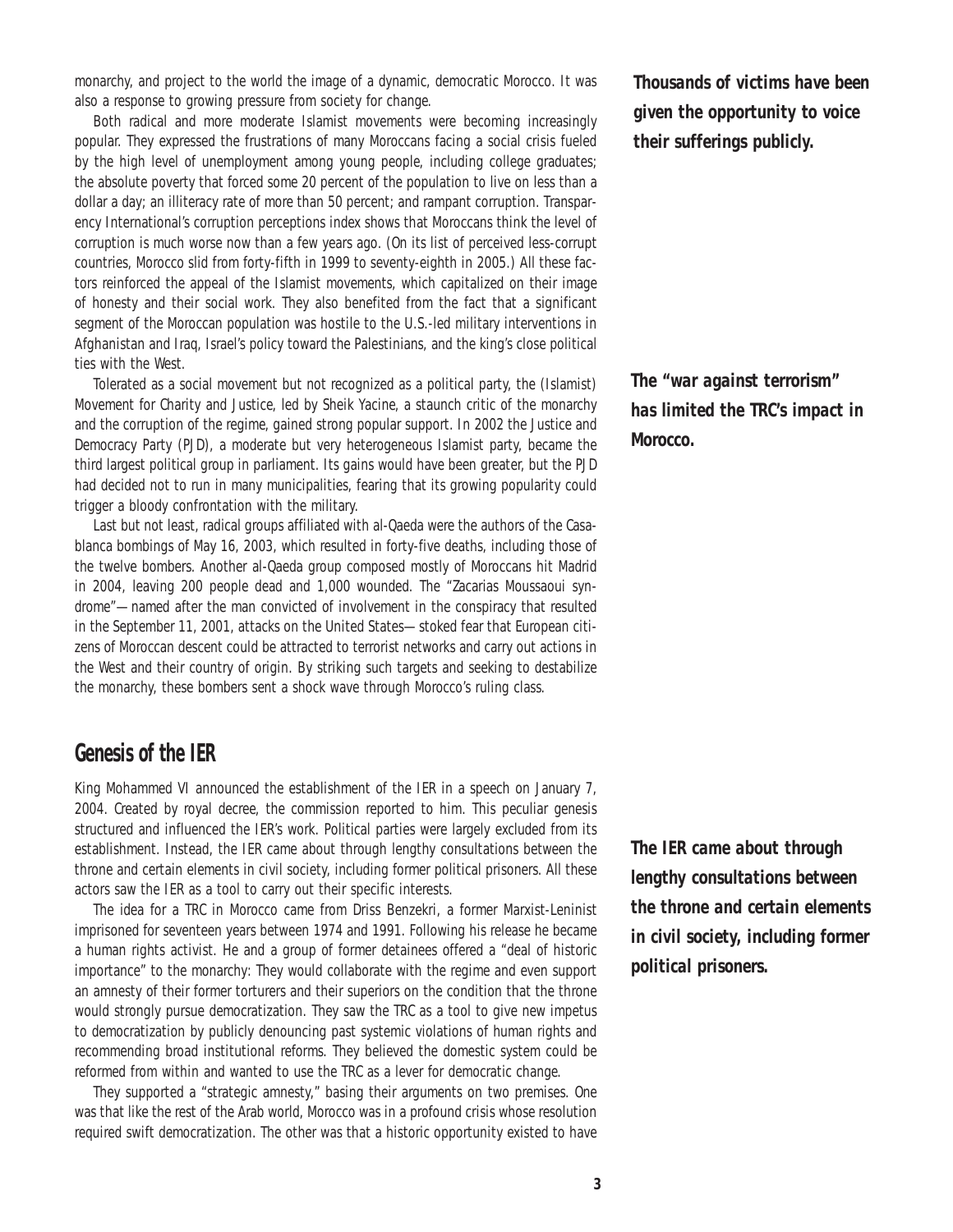monarchy, and project to the world the image of a dynamic, democratic Morocco. It was also a response to growing pressure from society for change.

Both radical and more moderate Islamist movements were becoming increasingly popular. They expressed the frustrations of many Moroccans facing a social crisis fueled by the high level of unemployment among young people, including college graduates; the absolute poverty that forced some 20 percent of the population to live on less than a dollar a day; an illiteracy rate of more than 50 percent; and rampant corruption. Transparency International's corruption perceptions index shows that Moroccans think the level of corruption is much worse now than a few years ago. (On its list of perceived less-corrupt countries, Morocco slid from forty-fifth in 1999 to seventy-eighth in 2005.) All these factors reinforced the appeal of the Islamist movements, which capitalized on their image of honesty and their social work. They also benefited from the fact that a significant segment of the Moroccan population was hostile to the U.S.-led military interventions in Afghanistan and Iraq, Israel's policy toward the Palestinians, and the king's close political ties with the West.

Tolerated as a social movement but not recognized as a political party, the (Islamist) Movement for Charity and Justice, led by Sheik Yacine, a staunch critic of the monarchy and the corruption of the regime, gained strong popular support. In 2002 the Justice and Democracy Party (PJD), a moderate but very heterogeneous Islamist party, became the third largest political group in parliament. Its gains would have been greater, but the PJD had decided not to run in many municipalities, fearing that its growing popularity could trigger a bloody confrontation with the military.

Last but not least, radical groups affiliated with al-Qaeda were the authors of the Casablanca bombings of May 16, 2003, which resulted in forty-five deaths, including those of the twelve bombers. Another al-Qaeda group composed mostly of Moroccans hit Madrid in 2004, leaving 200 people dead and 1,000 wounded. The "Zacarias Moussaoui syndrome"—named after the man convicted of involvement in the conspiracy that resulted in the September 11, 2001, attacks on the United States—stoked fear that European citizens of Moroccan descent could be attracted to terrorist networks and carry out actions in the West and their country of origin. By striking such targets and seeking to destabilize the monarchy, these bombers sent a shock wave through Morocco's ruling class.

#### **Genesis of the IER**

King Mohammed VI announced the establishment of the IER in a speech on January 7, 2004. Created by royal decree, the commission reported to him. This peculiar genesis structured and influenced the IER's work. Political parties were largely excluded from its establishment. Instead, the IER came about through lengthy consultations between the throne and certain elements in civil society, including former political prisoners. All these actors saw the IER as a tool to carry out their specific interests.

The idea for a TRC in Morocco came from Driss Benzekri, a former Marxist-Leninist imprisoned for seventeen years between 1974 and 1991. Following his release he became a human rights activist. He and a group of former detainees offered a "deal of historic importance" to the monarchy: They would collaborate with the regime and even support an amnesty of their former torturers and their superiors on the condition that the throne would strongly pursue democratization. They saw the TRC as a tool to give new impetus to democratization by publicly denouncing past systemic violations of human rights and recommending broad institutional reforms. They believed the domestic system could be reformed from within and wanted to use the TRC as a lever for democratic change.

They supported a "strategic amnesty," basing their arguments on two premises. One was that like the rest of the Arab world, Morocco was in a profound crisis whose resolution required swift democratization. The other was that a historic opportunity existed to have

*Thousands of victims have been given the opportunity to voice their sufferings publicly.*

*The "war against terrorism" has limited the TRC's impact in Morocco.*

*The IER came about through lengthy consultations between the throne and certain elements in civil society, including former political prisoners.*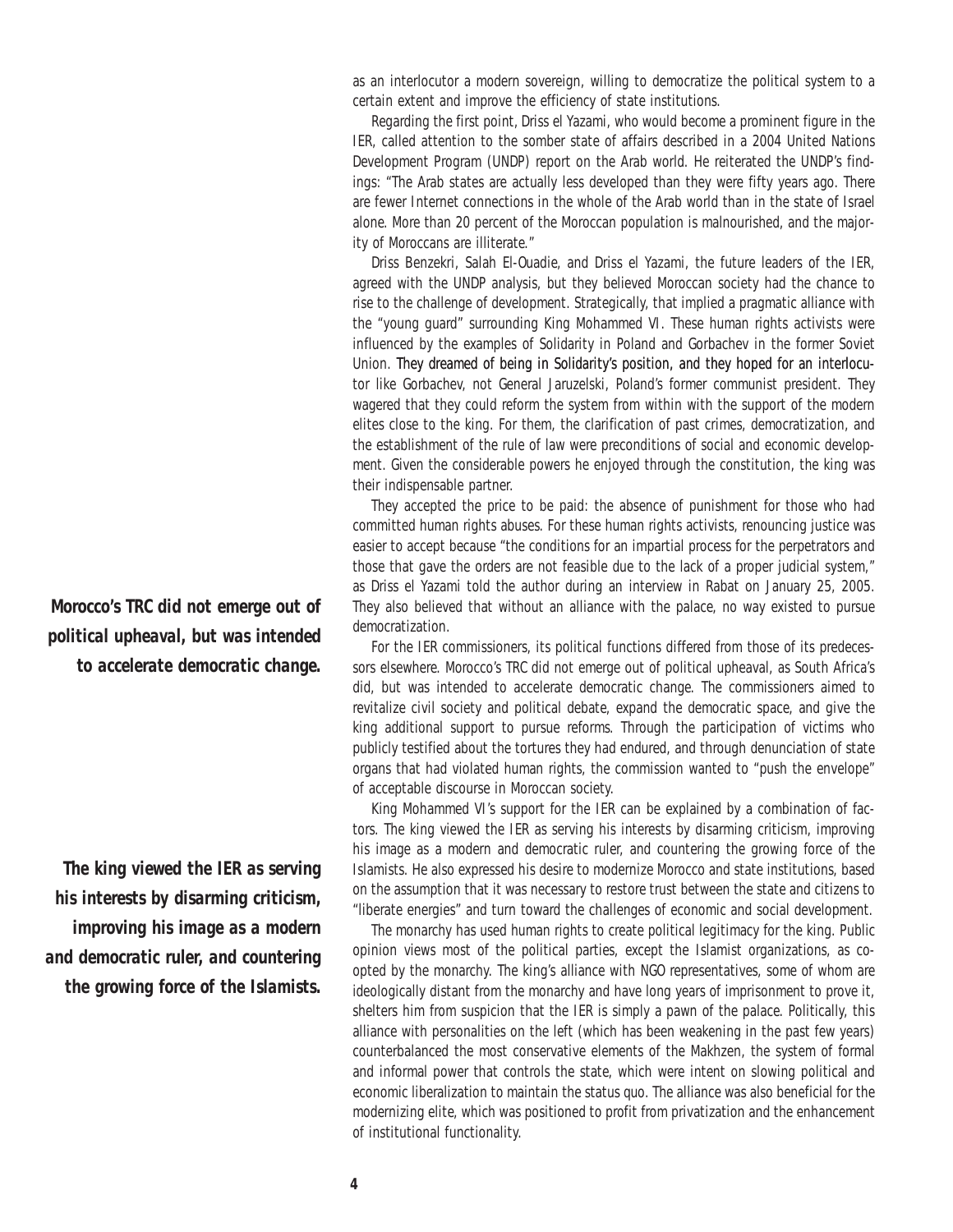as an interlocutor a modern sovereign, willing to democratize the political system to a certain extent and improve the efficiency of state institutions.

Regarding the first point, Driss el Yazami, who would become a prominent figure in the IER, called attention to the somber state of affairs described in a 2004 United Nations Development Program (UNDP) report on the Arab world. He reiterated the UNDP's findings: "The Arab states are actually less developed than they were fifty years ago. There are fewer Internet connections in the whole of the Arab world than in the state of Israel alone. More than 20 percent of the Moroccan population is malnourished, and the majority of Moroccans are illiterate."

Driss Benzekri, Salah El-Ouadie, and Driss el Yazami, the future leaders of the IER, agreed with the UNDP analysis, but they believed Moroccan society had the chance to rise to the challenge of development. Strategically, that implied a pragmatic alliance with the "young guard" surrounding King Mohammed VI. These human rights activists were influenced by the examples of Solidarity in Poland and Gorbachev in the former Soviet Union. They dreamed of being in Solidarity's position, and they hoped for an interlocutor like Gorbachev, not General Jaruzelski, Poland's former communist president. They wagered that they could reform the system from within with the support of the modern elites close to the king. For them, the clarification of past crimes, democratization, and the establishment of the rule of law were preconditions of social and economic development. Given the considerable powers he enjoyed through the constitution, the king was their indispensable partner.

They accepted the price to be paid: the absence of punishment for those who had committed human rights abuses. For these human rights activists, renouncing justice was easier to accept because "the conditions for an impartial process for the perpetrators and those that gave the orders are not feasible due to the lack of a proper judicial system," as Driss el Yazami told the author during an interview in Rabat on January 25, 2005. They also believed that without an alliance with the palace, no way existed to pursue democratization.

For the IER commissioners, its political functions differed from those of its predecessors elsewhere. Morocco's TRC did not emerge out of political upheaval, as South Africa's did, but was intended to accelerate democratic change. The commissioners aimed to revitalize civil society and political debate, expand the democratic space, and give the king additional support to pursue reforms. Through the participation of victims who publicly testified about the tortures they had endured, and through denunciation of state organs that had violated human rights, the commission wanted to "push the envelope" of acceptable discourse in Moroccan society.

King Mohammed VI's support for the IER can be explained by a combination of factors. The king viewed the IER as serving his interests by disarming criticism, improving his image as a modern and democratic ruler, and countering the growing force of the Islamists. He also expressed his desire to modernize Morocco and state institutions, based on the assumption that it was necessary to restore trust between the state and citizens to "liberate energies" and turn toward the challenges of economic and social development.

The monarchy has used human rights to create political legitimacy for the king. Public opinion views most of the political parties, except the Islamist organizations, as coopted by the monarchy. The king's alliance with NGO representatives, some of whom are ideologically distant from the monarchy and have long years of imprisonment to prove it, shelters him from suspicion that the IER is simply a pawn of the palace. Politically, this alliance with personalities on the left (which has been weakening in the past few years) counterbalanced the most conservative elements of the Makhzen, the system of formal and informal power that controls the state, which were intent on slowing political and economic liberalization to maintain the status quo. The alliance was also beneficial for the modernizing elite, which was positioned to profit from privatization and the enhancement of institutional functionality.

*Morocco's TRC did not emerge out of political upheaval, but was intended to accelerate democratic change.*

*The king viewed the IER as serving his interests by disarming criticism, improving his image as a modern and democratic ruler, and countering the growing force of the Islamists.*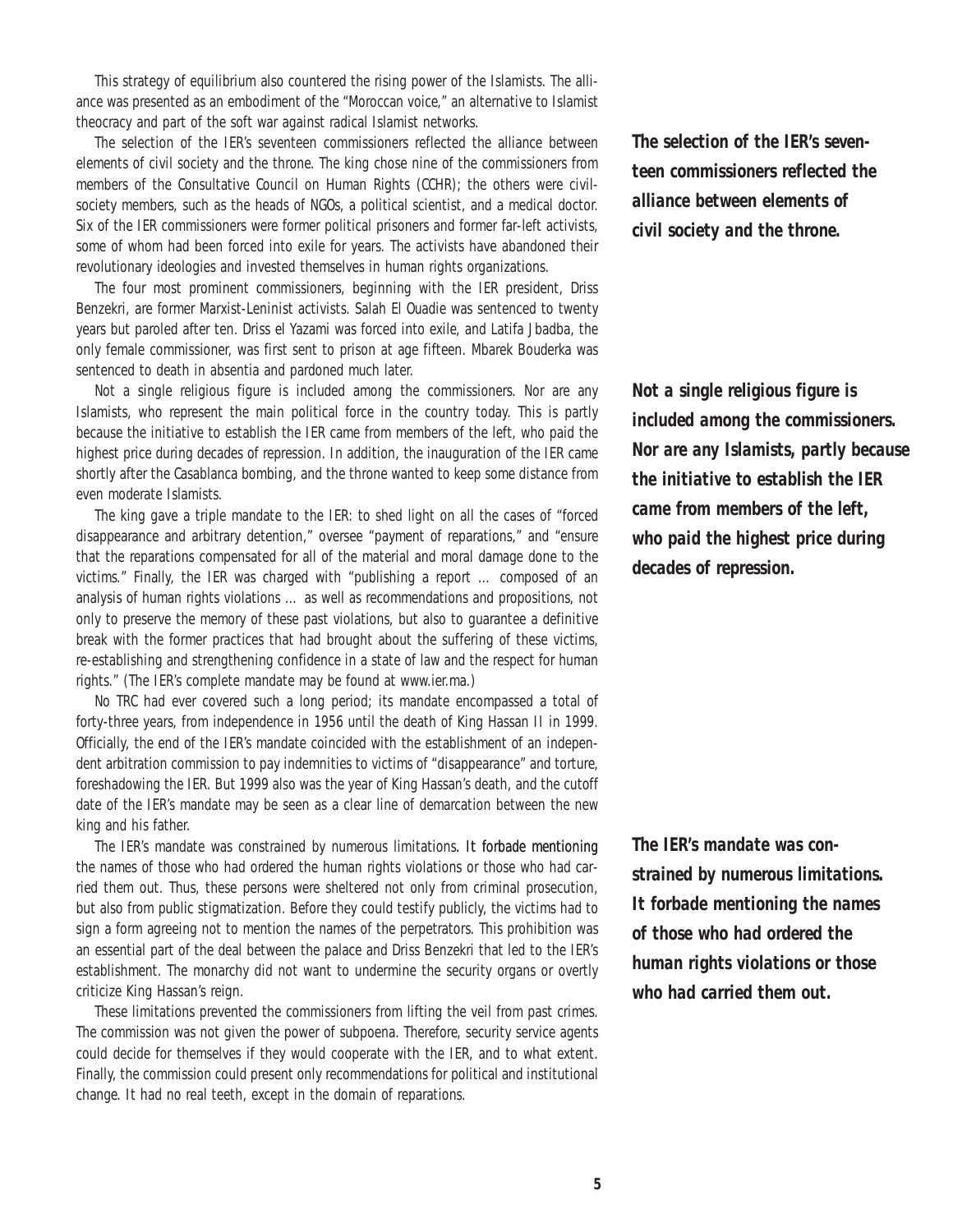This strategy of equilibrium also countered the rising power of the Islamists. The alliance was presented as an embodiment of the "Moroccan voice," an alternative to Islamist theocracy and part of the soft war against radical Islamist networks.

The selection of the IER's seventeen commissioners reflected the alliance between elements of civil society and the throne. The king chose nine of the commissioners from members of the Consultative Council on Human Rights (CCHR); the others were civilsociety members, such as the heads of NGOs, a political scientist, and a medical doctor. Six of the IER commissioners were former political prisoners and former far-left activists, some of whom had been forced into exile for years. The activists have abandoned their revolutionary ideologies and invested themselves in human rights organizations.

The four most prominent commissioners, beginning with the IER president, Driss Benzekri, are former Marxist-Leninist activists. Salah El Ouadie was sentenced to twenty years but paroled after ten. Driss el Yazami was forced into exile, and Latifa Jbadba, the only female commissioner, was first sent to prison at age fifteen. Mbarek Bouderka was sentenced to death in absentia and pardoned much later.

Not a single religious figure is included among the commissioners. Nor are any Islamists, who represent the main political force in the country today. This is partly because the initiative to establish the IER came from members of the left, who paid the highest price during decades of repression. In addition, the inauguration of the IER came shortly after the Casablanca bombing, and the throne wanted to keep some distance from even moderate Islamists.

The king gave a triple mandate to the IER: to shed light on all the cases of "forced disappearance and arbitrary detention," oversee "payment of reparations," and "ensure that the reparations compensated for all of the material and moral damage done to the victims." Finally, the IER was charged with "publishing a report … composed of an analysis of human rights violations … as well as recommendations and propositions, not only to preserve the memory of these past violations, but also to guarantee a definitive break with the former practices that had brought about the suffering of these victims, re-establishing and strengthening confidence in a state of law and the respect for human rights." (The IER's complete mandate may be found at www.ier.ma.)

No TRC had ever covered such a long period; its mandate encompassed a total of forty-three years, from independence in 1956 until the death of King Hassan II in 1999. Officially, the end of the IER's mandate coincided with the establishment of an independent arbitration commission to pay indemnities to victims of "disappearance" and torture, foreshadowing the IER. But 1999 also was the year of King Hassan's death, and the cutoff date of the IER's mandate may be seen as a clear line of demarcation between the new king and his father.

The IER's mandate was constrained by numerous limitations. It forbade mentioning the names of those who had ordered the human rights violations or those who had carried them out. Thus, these persons were sheltered not only from criminal prosecution, but also from public stigmatization. Before they could testify publicly, the victims had to sign a form agreeing not to mention the names of the perpetrators. This prohibition was an essential part of the deal between the palace and Driss Benzekri that led to the IER's establishment. The monarchy did not want to undermine the security organs or overtly criticize King Hassan's reign.

These limitations prevented the commissioners from lifting the veil from past crimes. The commission was not given the power of subpoena. Therefore, security service agents could decide for themselves if they would cooperate with the IER, and to what extent. Finally, the commission could present only recommendations for political and institutional change. It had no real teeth, except in the domain of reparations.

*The selection of the IER's seventeen commissioners reflected the alliance between elements of civil society and the throne.*

*Not a single religious figure is included among the commissioners. Nor are any Islamists, partly because the initiative to establish the IER came from members of the left, who paid the highest price during decades of repression.* 

*The IER's mandate was constrained by numerous limitations. It forbade mentioning the names of those who had ordered the human rights violations or those who had carried them out.*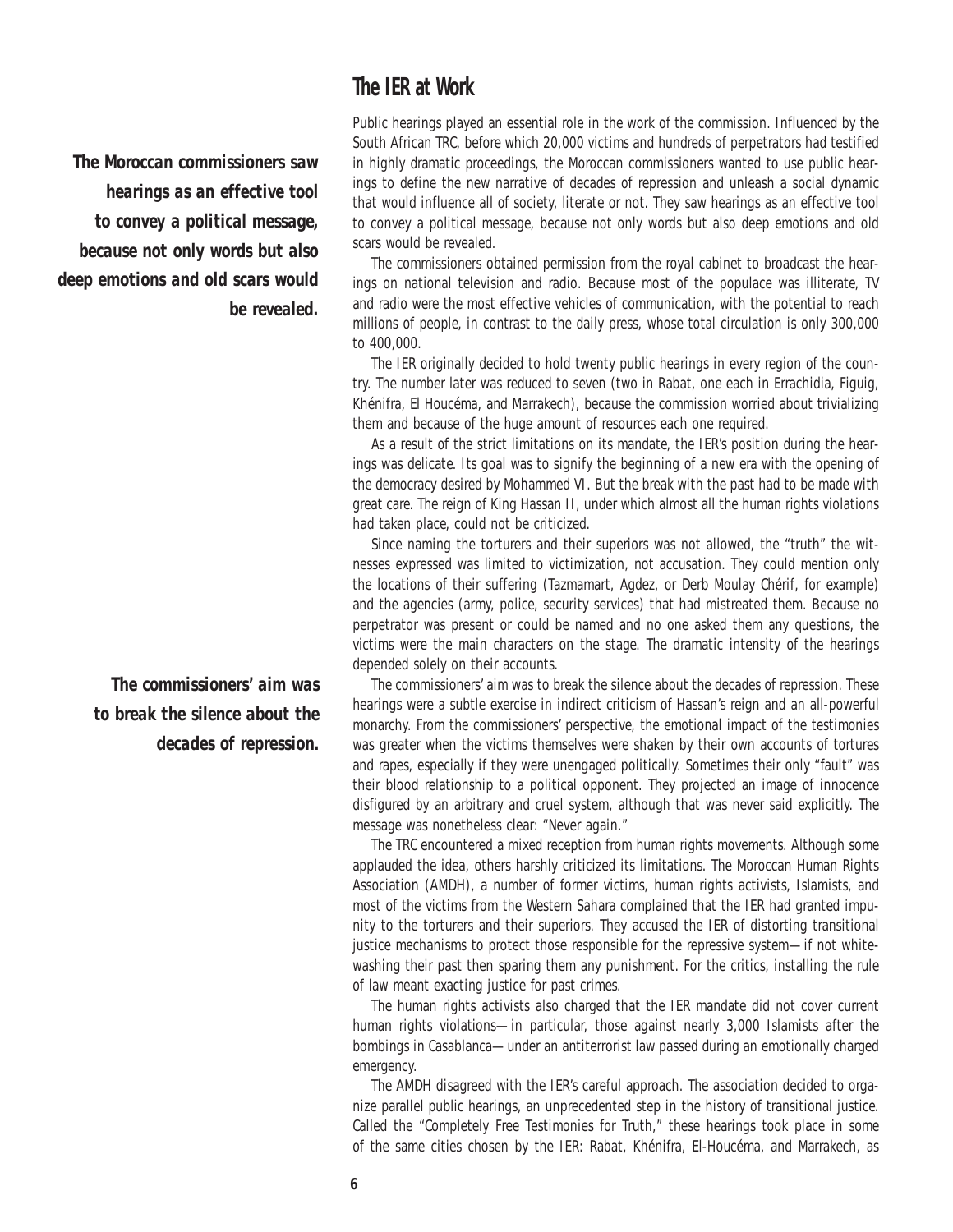### **The IER at Work**

*The Moroccan commissioners saw hearings as an effective tool to convey a political message, because not only words but also deep emotions and old scars would be revealed.*

> *The commissioners' aim was to break the silence about the decades of repression.*

Public hearings played an essential role in the work of the commission. Influenced by the South African TRC, before which 20,000 victims and hundreds of perpetrators had testified in highly dramatic proceedings, the Moroccan commissioners wanted to use public hearings to define the new narrative of decades of repression and unleash a social dynamic that would influence all of society, literate or not. They saw hearings as an effective tool to convey a political message, because not only words but also deep emotions and old scars would be revealed.

The commissioners obtained permission from the royal cabinet to broadcast the hearings on national television and radio. Because most of the populace was illiterate, TV and radio were the most effective vehicles of communication, with the potential to reach millions of people, in contrast to the daily press, whose total circulation is only 300,000 to 400,000.

The IER originally decided to hold twenty public hearings in every region of the country. The number later was reduced to seven (two in Rabat, one each in Errachidia, Figuig, Khénifra, El Houcéma, and Marrakech), because the commission worried about trivializing them and because of the huge amount of resources each one required.

As a result of the strict limitations on its mandate, the IER's position during the hearings was delicate. Its goal was to signify the beginning of a new era with the opening of the democracy desired by Mohammed VI. But the break with the past had to be made with great care. The reign of King Hassan II, under which almost all the human rights violations had taken place, could not be criticized.

Since naming the torturers and their superiors was not allowed, the "truth" the witnesses expressed was limited to victimization, not accusation. They could mention only the locations of their suffering (Tazmamart, Agdez, or Derb Moulay Chérif, for example) and the agencies (army, police, security services) that had mistreated them. Because no perpetrator was present or could be named and no one asked them any questions, the victims were the main characters on the stage. The dramatic intensity of the hearings depended solely on their accounts.

The commissioners' aim was to break the silence about the decades of repression. These hearings were a subtle exercise in indirect criticism of Hassan's reign and an all-powerful monarchy. From the commissioners' perspective, the emotional impact of the testimonies was greater when the victims themselves were shaken by their own accounts of tortures and rapes, especially if they were unengaged politically. Sometimes their only "fault" was their blood relationship to a political opponent. They projected an image of innocence disfigured by an arbitrary and cruel system, although that was never said explicitly. The message was nonetheless clear: "Never again."

The TRC encountered a mixed reception from human rights movements. Although some applauded the idea, others harshly criticized its limitations. The Moroccan Human Rights Association (AMDH), a number of former victims, human rights activists, Islamists, and most of the victims from the Western Sahara complained that the IER had granted impunity to the torturers and their superiors. They accused the IER of distorting transitional justice mechanisms to protect those responsible for the repressive system—if not whitewashing their past then sparing them any punishment. For the critics, installing the rule of law meant exacting justice for past crimes.

The human rights activists also charged that the IER mandate did not cover current human rights violations—in particular, those against nearly 3,000 Islamists after the bombings in Casablanca—under an antiterrorist law passed during an emotionally charged emergency.

The AMDH disagreed with the IER's careful approach. The association decided to organize parallel public hearings, an unprecedented step in the history of transitional justice. Called the "Completely Free Testimonies for Truth," these hearings took place in some of the same cities chosen by the IER: Rabat, Khénifra, El-Houcéma, and Marrakech, as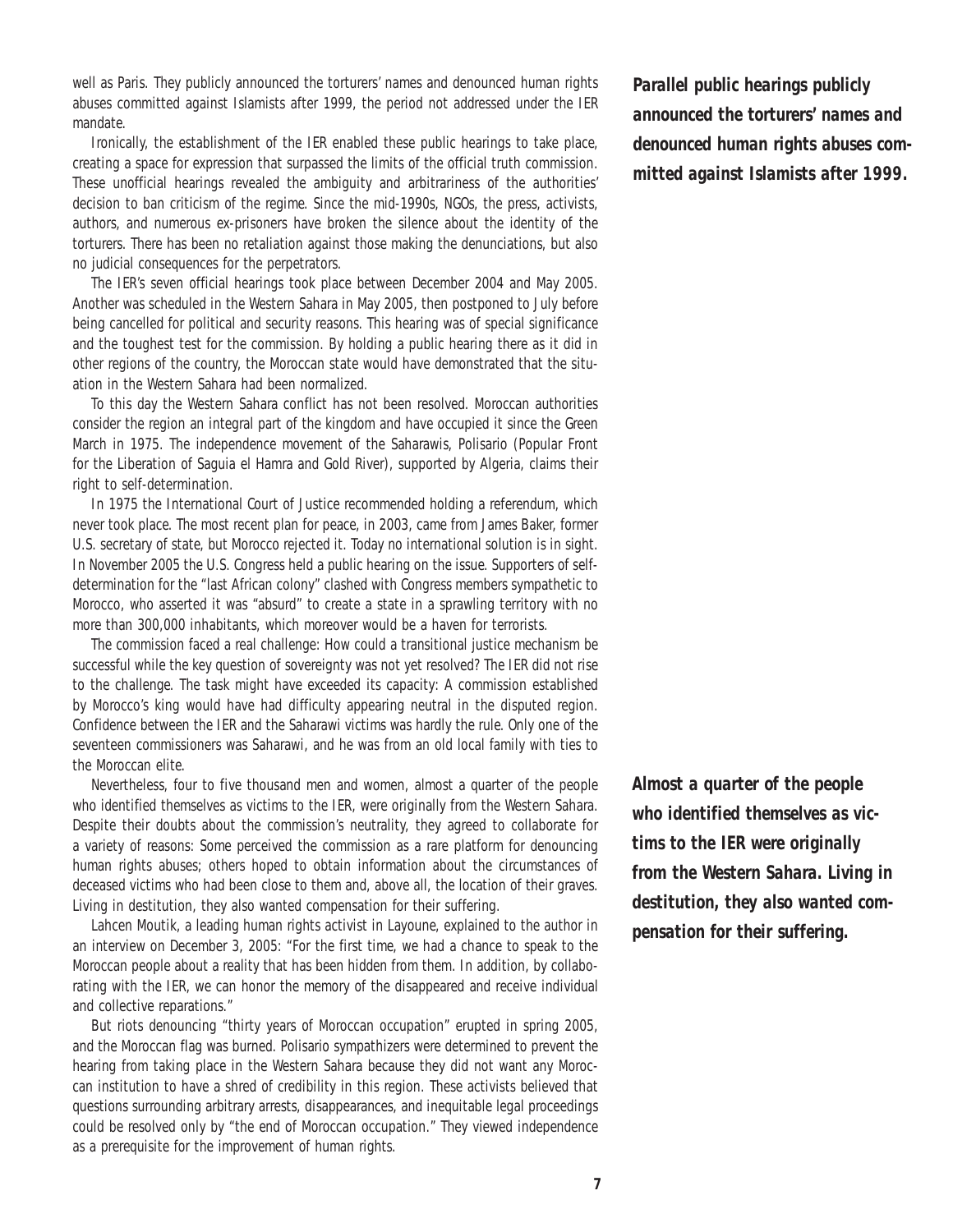well as Paris. They publicly announced the torturers' names and denounced human rights abuses committed against Islamists after 1999, the period not addressed under the IER mandate.

Ironically, the establishment of the IER enabled these public hearings to take place, creating a space for expression that surpassed the limits of the official truth commission. These unofficial hearings revealed the ambiguity and arbitrariness of the authorities' decision to ban criticism of the regime. Since the mid-1990s, NGOs, the press, activists, authors, and numerous ex-prisoners have broken the silence about the identity of the torturers. There has been no retaliation against those making the denunciations, but also no judicial consequences for the perpetrators.

The IER's seven official hearings took place between December 2004 and May 2005. Another was scheduled in the Western Sahara in May 2005, then postponed to July before being cancelled for political and security reasons. This hearing was of special significance and the toughest test for the commission. By holding a public hearing there as it did in other regions of the country, the Moroccan state would have demonstrated that the situation in the Western Sahara had been normalized.

To this day the Western Sahara conflict has not been resolved. Moroccan authorities consider the region an integral part of the kingdom and have occupied it since the Green March in 1975. The independence movement of the Saharawis, Polisario (Popular Front for the Liberation of Saguia el Hamra and Gold River), supported by Algeria, claims their right to self-determination.

In 1975 the International Court of Justice recommended holding a referendum, which never took place. The most recent plan for peace, in 2003, came from James Baker, former U.S. secretary of state, but Morocco rejected it. Today no international solution is in sight. In November 2005 the U.S. Congress held a public hearing on the issue. Supporters of selfdetermination for the "last African colony" clashed with Congress members sympathetic to Morocco, who asserted it was "absurd" to create a state in a sprawling territory with no more than 300,000 inhabitants, which moreover would be a haven for terrorists.

The commission faced a real challenge: How could a transitional justice mechanism be successful while the key question of sovereignty was not yet resolved? The IER did not rise to the challenge. The task might have exceeded its capacity: A commission established by Morocco's king would have had difficulty appearing neutral in the disputed region. Confidence between the IER and the Saharawi victims was hardly the rule. Only one of the seventeen commissioners was Saharawi, and he was from an old local family with ties to the Moroccan elite.

Nevertheless, four to five thousand men and women, almost a quarter of the people who identified themselves as victims to the IER, were originally from the Western Sahara. Despite their doubts about the commission's neutrality, they agreed to collaborate for a variety of reasons: Some perceived the commission as a rare platform for denouncing human rights abuses; others hoped to obtain information about the circumstances of deceased victims who had been close to them and, above all, the location of their graves. Living in destitution, they also wanted compensation for their suffering.

Lahcen Moutik, a leading human rights activist in Layoune, explained to the author in an interview on December 3, 2005: "For the first time, we had a chance to speak to the Moroccan people about a reality that has been hidden from them. In addition, by collaborating with the IER, we can honor the memory of the disappeared and receive individual and collective reparations."

But riots denouncing "thirty years of Moroccan occupation" erupted in spring 2005, and the Moroccan flag was burned. Polisario sympathizers were determined to prevent the hearing from taking place in the Western Sahara because they did not want any Moroccan institution to have a shred of credibility in this region. These activists believed that questions surrounding arbitrary arrests, disappearances, and inequitable legal proceedings could be resolved only by "the end of Moroccan occupation." They viewed independence as a prerequisite for the improvement of human rights.

*Parallel public hearings publicly announced the torturers' names and denounced human rights abuses committed against Islamists after 1999.*

*Almost a quarter of the people who identified themselves as victims to the IER were originally from the Western Sahara. Living in destitution, they also wanted compensation for their suffering.*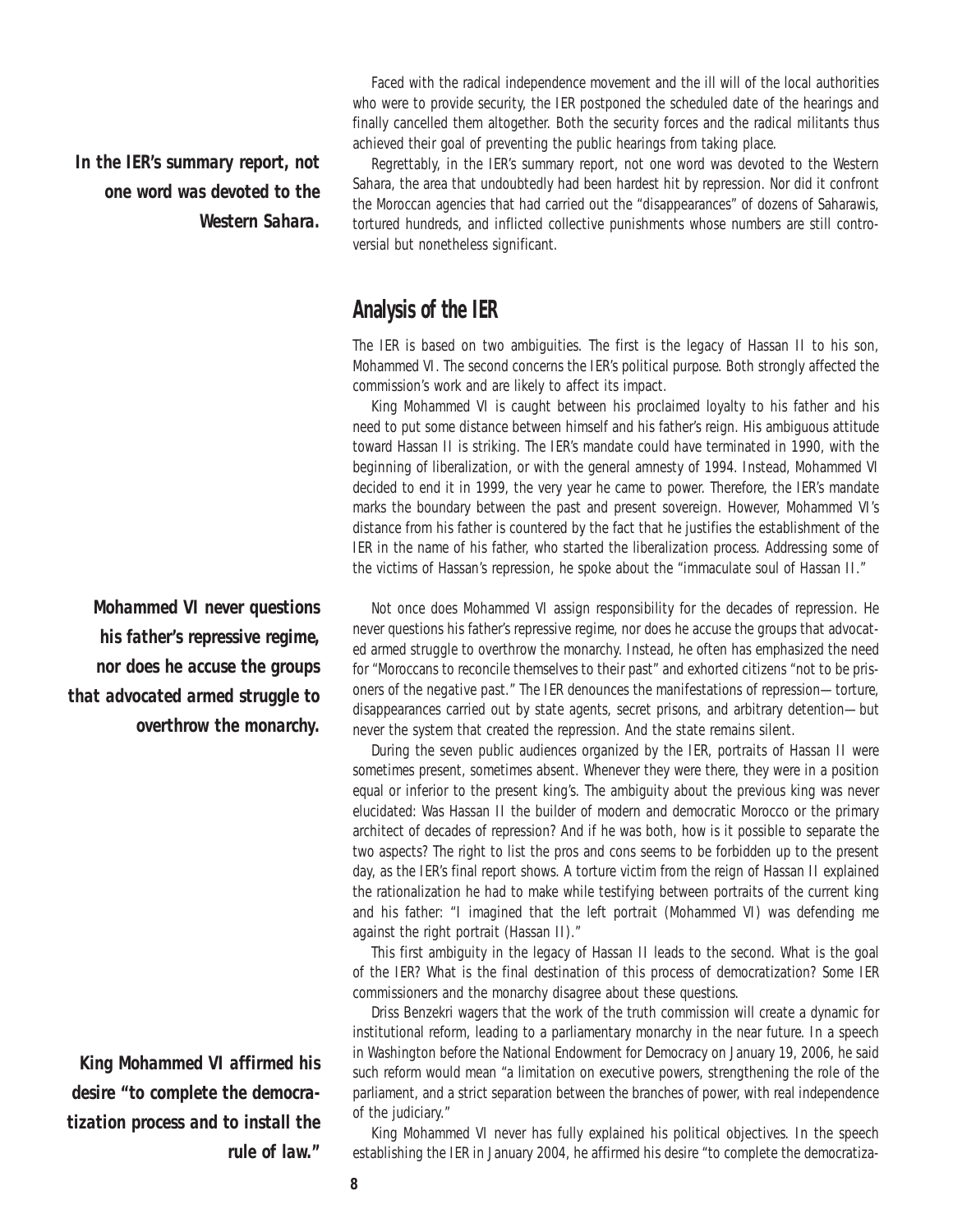*In the IER's summary report, not one word was devoted to the Western Sahara.*

*Mohammed VI never questions his father's repressive regime, nor does he accuse the groups that advocated armed struggle to overthrow the monarchy.* 

*King Mohammed VI affirmed his desire "to complete the democratization process and to install the rule of law."*

Faced with the radical independence movement and the ill will of the local authorities who were to provide security, the IER postponed the scheduled date of the hearings and finally cancelled them altogether. Both the security forces and the radical militants thus achieved their goal of preventing the public hearings from taking place.

Regrettably, in the IER's summary report, not one word was devoted to the Western Sahara, the area that undoubtedly had been hardest hit by repression. Nor did it confront the Moroccan agencies that had carried out the "disappearances" of dozens of Saharawis, tortured hundreds, and inflicted collective punishments whose numbers are still controversial but nonetheless significant.

### **Analysis of the IER**

The IER is based on two ambiguities. The first is the legacy of Hassan II to his son, Mohammed VI. The second concerns the IER's political purpose. Both strongly affected the commission's work and are likely to affect its impact.

King Mohammed VI is caught between his proclaimed loyalty to his father and his need to put some distance between himself and his father's reign. His ambiguous attitude toward Hassan II is striking. The IER's mandate could have terminated in 1990, with the beginning of liberalization, or with the general amnesty of 1994. Instead, Mohammed VI decided to end it in 1999, the very year he came to power. Therefore, the IER's mandate marks the boundary between the past and present sovereign. However, Mohammed VI's distance from his father is countered by the fact that he justifies the establishment of the IER in the name of his father, who started the liberalization process. Addressing some of the victims of Hassan's repression, he spoke about the "immaculate soul of Hassan II."

Not once does Mohammed VI assign responsibility for the decades of repression. He never questions his father's repressive regime, nor does he accuse the groups that advocated armed struggle to overthrow the monarchy. Instead, he often has emphasized the need for "Moroccans to reconcile themselves to their past" and exhorted citizens "not to be prisoners of the negative past." The IER denounces the manifestations of repression—torture, disappearances carried out by state agents, secret prisons, and arbitrary detention—but never the system that created the repression. And the state remains silent.

During the seven public audiences organized by the IER, portraits of Hassan II were sometimes present, sometimes absent. Whenever they were there, they were in a position equal or inferior to the present king's. The ambiguity about the previous king was never elucidated: Was Hassan II the builder of modern and democratic Morocco or the primary architect of decades of repression? And if he was both, how is it possible to separate the two aspects? The right to list the pros and cons seems to be forbidden up to the present day, as the IER's final report shows. A torture victim from the reign of Hassan II explained the rationalization he had to make while testifying between portraits of the current king and his father: "I imagined that the left portrait (Mohammed VI) was defending me against the right portrait (Hassan II)."

This first ambiguity in the legacy of Hassan II leads to the second. What is the goal of the IER? What is the final destination of this process of democratization? Some IER commissioners and the monarchy disagree about these questions.

Driss Benzekri wagers that the work of the truth commission will create a dynamic for institutional reform, leading to a parliamentary monarchy in the near future. In a speech in Washington before the National Endowment for Democracy on January 19, 2006, he said such reform would mean "a limitation on executive powers, strengthening the role of the parliament, and a strict separation between the branches of power, with real independence of the judiciary."

King Mohammed VI never has fully explained his political objectives. In the speech establishing the IER in January 2004, he affirmed his desire "to complete the democratiza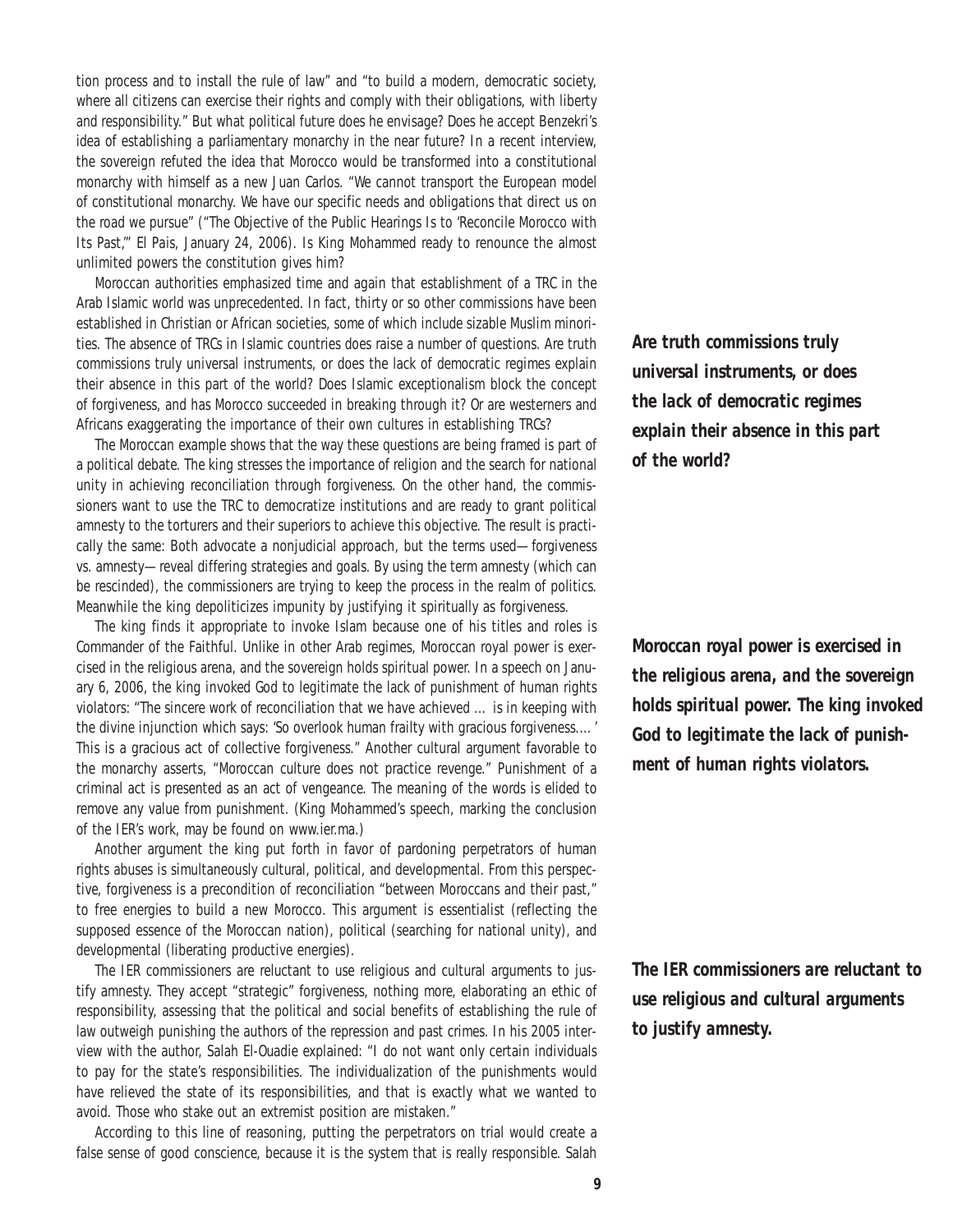tion process and to install the rule of law" and "to build a modern, democratic society, where all citizens can exercise their rights and comply with their obligations, with liberty and responsibility." But what political future does he envisage? Does he accept Benzekri's idea of establishing a parliamentary monarchy in the near future? In a recent interview, the sovereign refuted the idea that Morocco would be transformed into a constitutional monarchy with himself as a new Juan Carlos. "We cannot transport the European model of constitutional monarchy. We have our specific needs and obligations that direct us on the road we pursue" ("The Objective of the Public Hearings Is to 'Reconcile Morocco with Its Past,'" *El Pais*, January 24, 2006). Is King Mohammed ready to renounce the almost unlimited powers the constitution gives him?

Moroccan authorities emphasized time and again that establishment of a TRC in the Arab Islamic world was unprecedented. In fact, thirty or so other commissions have been established in Christian or African societies, some of which include sizable Muslim minorities. The absence of TRCs in Islamic countries does raise a number of questions. Are truth commissions truly universal instruments, or does the lack of democratic regimes explain their absence in this part of the world? Does Islamic exceptionalism block the concept of forgiveness, and has Morocco succeeded in breaking through it? Or are westerners and Africans exaggerating the importance of their own cultures in establishing TRCs?

The Moroccan example shows that the way these questions are being framed is part of a political debate. The king stresses the importance of religion and the search for national unity in achieving reconciliation through forgiveness. On the other hand, the commissioners want to use the TRC to democratize institutions and are ready to grant political amnesty to the torturers and their superiors to achieve this objective. The result is practically the same: Both advocate a nonjudicial approach, but the terms used—forgiveness vs. amnesty—reveal differing strategies and goals. By using the term amnesty (which can be rescinded), the commissioners are trying to keep the process in the realm of politics. Meanwhile the king depoliticizes impunity by justifying it spiritually as forgiveness.

The king finds it appropriate to invoke Islam because one of his titles and roles is Commander of the Faithful. Unlike in other Arab regimes, Moroccan royal power is exercised in the religious arena, and the sovereign holds spiritual power. In a speech on January 6, 2006, the king invoked God to legitimate the lack of punishment of human rights violators: "The sincere work of reconciliation that we have achieved … is in keeping with the divine injunction which says: 'So overlook human frailty with gracious forgiveness.…' This is a gracious act of collective forgiveness." Another cultural argument favorable to the monarchy asserts, "Moroccan culture does not practice revenge." Punishment of a criminal act is presented as an act of vengeance. The meaning of the words is elided to remove any value from punishment. (King Mohammed's speech, marking the conclusion of the IER's work, may be found on www.ier.ma.)

Another argument the king put forth in favor of pardoning perpetrators of human rights abuses is simultaneously cultural, political, and developmental. From this perspective, forgiveness is a precondition of reconciliation "between Moroccans and their past," to free energies to build a new Morocco. This argument is essentialist (reflecting the supposed essence of the Moroccan nation), political (searching for national unity), and developmental (liberating productive energies).

The IER commissioners are reluctant to use religious and cultural arguments to justify amnesty. They accept "strategic" forgiveness, nothing more, elaborating an ethic of responsibility, assessing that the political and social benefits of establishing the rule of law outweigh punishing the authors of the repression and past crimes. In his 2005 interview with the author, Salah El-Ouadie explained: "I do not want only certain individuals to pay for the state's responsibilities. The individualization of the punishments would have relieved the state of its responsibilities, and that is exactly what we wanted to avoid. Those who stake out an extremist position are mistaken."

According to this line of reasoning, putting the perpetrators on trial would create a false sense of good conscience, because it is the system that is really responsible. Salah *Are truth commissions truly universal instruments, or does the lack of democratic regimes explain their absence in this part of the world?*

*Moroccan royal power is exercised in the religious arena, and the sovereign holds spiritual power. The king invoked God to legitimate the lack of punishment of human rights violators.* 

*The IER commissioners are reluctant to use religious and cultural arguments to justify amnesty.*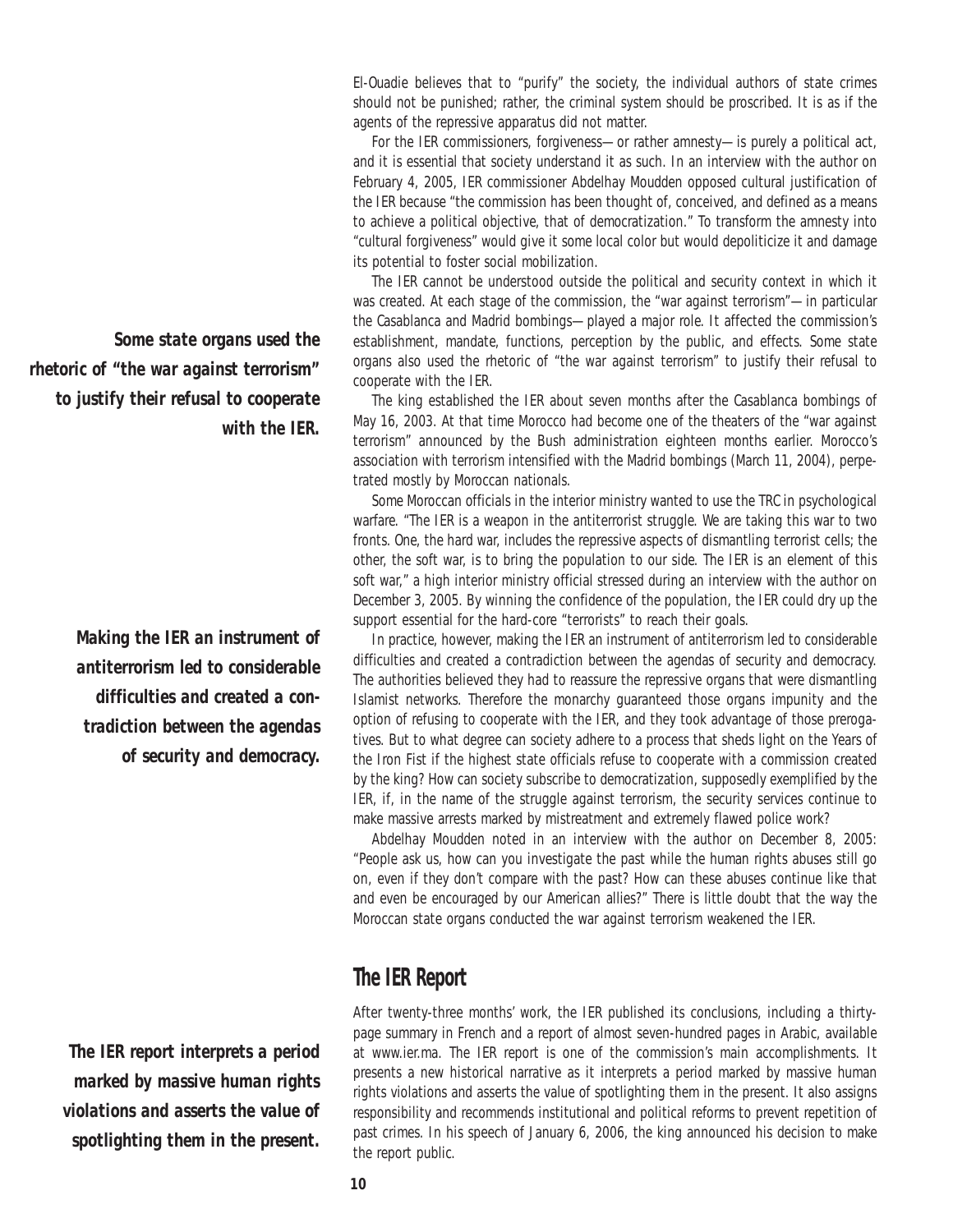El-Ouadie believes that to "purify" the society, the individual authors of state crimes should not be punished; rather, the criminal system should be proscribed. It is as if the agents of the repressive apparatus did not matter.

For the IER commissioners, forgiveness—or rather amnesty—is purely a political act, and it is essential that society understand it as such. In an interview with the author on February 4, 2005, IER commissioner Abdelhay Moudden opposed cultural justification of the IER because "the commission has been thought of, conceived, and defined as a means to achieve a political objective, that of democratization." To transform the amnesty into "cultural forgiveness" would give it some local color but would depoliticize it and damage its potential to foster social mobilization.

The IER cannot be understood outside the political and security context in which it was created. At each stage of the commission, the "war against terrorism"—in particular the Casablanca and Madrid bombings—played a major role. It affected the commission's establishment, mandate, functions, perception by the public, and effects. Some state organs also used the rhetoric of "the war against terrorism" to justify their refusal to cooperate with the IER.

The king established the IER about seven months after the Casablanca bombings of May 16, 2003. At that time Morocco had become one of the theaters of the "war against terrorism" announced by the Bush administration eighteen months earlier. Morocco's association with terrorism intensified with the Madrid bombings (March 11, 2004), perpetrated mostly by Moroccan nationals.

Some Moroccan officials in the interior ministry wanted to use the TRC in psychological warfare. "The IER is a weapon in the antiterrorist struggle. We are taking this war to two fronts. One, the hard war, includes the repressive aspects of dismantling terrorist cells; the other, the soft war, is to bring the population to our side. The IER is an element of this soft war," a high interior ministry official stressed during an interview with the author on December 3, 2005. By winning the confidence of the population, the IER could dry up the support essential for the hard-core "terrorists" to reach their goals.

In practice, however, making the IER an instrument of antiterrorism led to considerable difficulties and created a contradiction between the agendas of security and democracy. The authorities believed they had to reassure the repressive organs that were dismantling Islamist networks. Therefore the monarchy guaranteed those organs impunity and the option of refusing to cooperate with the IER, and they took advantage of those prerogatives. But to what degree can society adhere to a process that sheds light on the Years of the Iron Fist if the highest state officials refuse to cooperate with a commission created by the king? How can society subscribe to democratization, supposedly exemplified by the IER, if, in the name of the struggle against terrorism, the security services continue to make massive arrests marked by mistreatment and extremely flawed police work?

Abdelhay Moudden noted in an interview with the author on December 8, 2005: "People ask us, how can you investigate the past while the human rights abuses still go on, even if they don't compare with the past? How can these abuses continue like that and even be encouraged by our American allies?" There is little doubt that the way the Moroccan state organs conducted the war against terrorism weakened the IER.

### **The IER Report**

After twenty-three months' work, the IER published its conclusions, including a thirtypage summary in French and a report of almost seven-hundred pages in Arabic, available at www.ier.ma. The IER report is one of the commission's main accomplishments. It presents a new historical narrative as it interprets a period marked by massive human rights violations and asserts the value of spotlighting them in the present. It also assigns responsibility and recommends institutional and political reforms to prevent repetition of past crimes. In his speech of January 6, 2006, the king announced his decision to make the report public.

*Some state organs used the rhetoric of "the war against terrorism" to justify their refusal to cooperate with the IER.* 

> *Making the IER an instrument of antiterrorism led to considerable difficulties and created a contradiction between the agendas of security and democracy.*

*The IER report interprets a period marked by massive human rights violations and asserts the value of spotlighting them in the present.*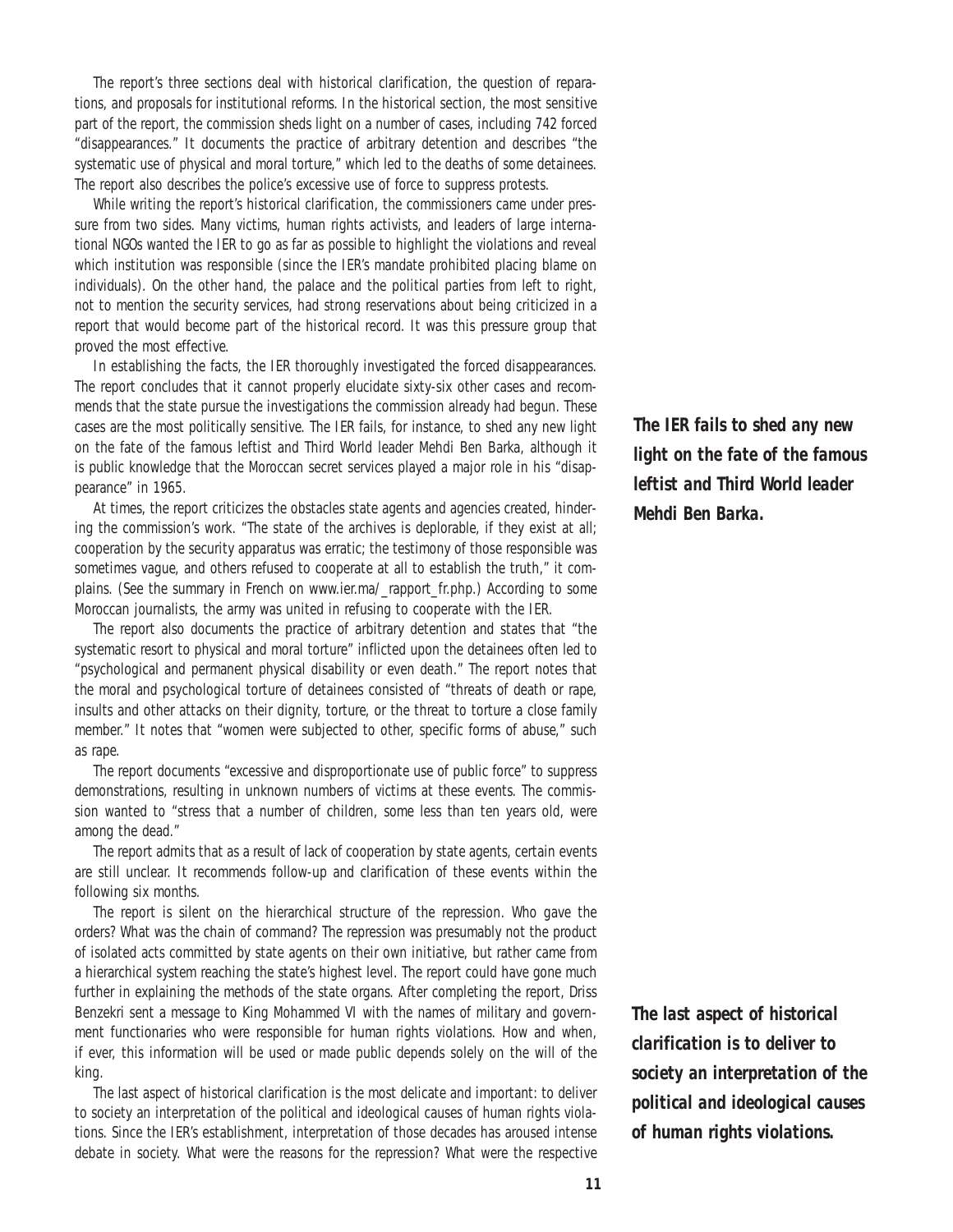The report's three sections deal with historical clarification, the question of reparations, and proposals for institutional reforms. In the historical section, the most sensitive part of the report, the commission sheds light on a number of cases, including 742 forced "disappearances." It documents the practice of arbitrary detention and describes "the systematic use of physical and moral torture," which led to the deaths of some detainees. The report also describes the police's excessive use of force to suppress protests.

While writing the report's historical clarification, the commissioners came under pressure from two sides. Many victims, human rights activists, and leaders of large international NGOs wanted the IER to go as far as possible to highlight the violations and reveal which institution was responsible (since the IER's mandate prohibited placing blame on individuals). On the other hand, the palace and the political parties from left to right, not to mention the security services, had strong reservations about being criticized in a report that would become part of the historical record. It was this pressure group that proved the most effective.

In establishing the facts, the IER thoroughly investigated the forced disappearances. The report concludes that it cannot properly elucidate sixty-six other cases and recommends that the state pursue the investigations the commission already had begun. These cases are the most politically sensitive. The IER fails, for instance, to shed any new light on the fate of the famous leftist and Third World leader Mehdi Ben Barka, although it is public knowledge that the Moroccan secret services played a major role in his "disappearance" in 1965.

At times, the report criticizes the obstacles state agents and agencies created, hindering the commission's work. "The state of the archives is deplorable, if they exist at all; cooperation by the security apparatus was erratic; the testimony of those responsible was sometimes vague, and others refused to cooperate at all to establish the truth," it complains. (See the summary in French on www.ier.ma/\_rapport\_fr.php.) According to some Moroccan journalists, the army was united in refusing to cooperate with the IER.

The report also documents the practice of arbitrary detention and states that "the systematic resort to physical and moral torture" inflicted upon the detainees often led to "psychological and permanent physical disability or even death." The report notes that the moral and psychological torture of detainees consisted of "threats of death or rape, insults and other attacks on their dignity, torture, or the threat to torture a close family member." It notes that "women were subjected to other, specific forms of abuse," such as rape.

The report documents "excessive and disproportionate use of public force" to suppress demonstrations, resulting in unknown numbers of victims at these events. The commission wanted to "stress that a number of children, some less than ten years old, were among the dead."

The report admits that as a result of lack of cooperation by state agents, certain events are still unclear. It recommends follow-up and clarification of these events within the following six months.

The report is silent on the hierarchical structure of the repression. Who gave the orders? What was the chain of command? The repression was presumably not the product of isolated acts committed by state agents on their own initiative, but rather came from a hierarchical system reaching the state's highest level. The report could have gone much further in explaining the methods of the state organs. After completing the report, Driss Benzekri sent a message to King Mohammed VI with the names of military and government functionaries who were responsible for human rights violations. How and when, if ever, this information will be used or made public depends solely on the will of the king.

The last aspect of historical clarification is the most delicate and important: to deliver to society an interpretation of the political and ideological causes of human rights violations. Since the IER's establishment, interpretation of those decades has aroused intense debate in society. What were the reasons for the repression? What were the respective

*The IER fails to shed any new light on the fate of the famous leftist and Third World leader Mehdi Ben Barka.*

*The last aspect of historical clarification is to deliver to society an interpretation of the political and ideological causes of human rights violations.*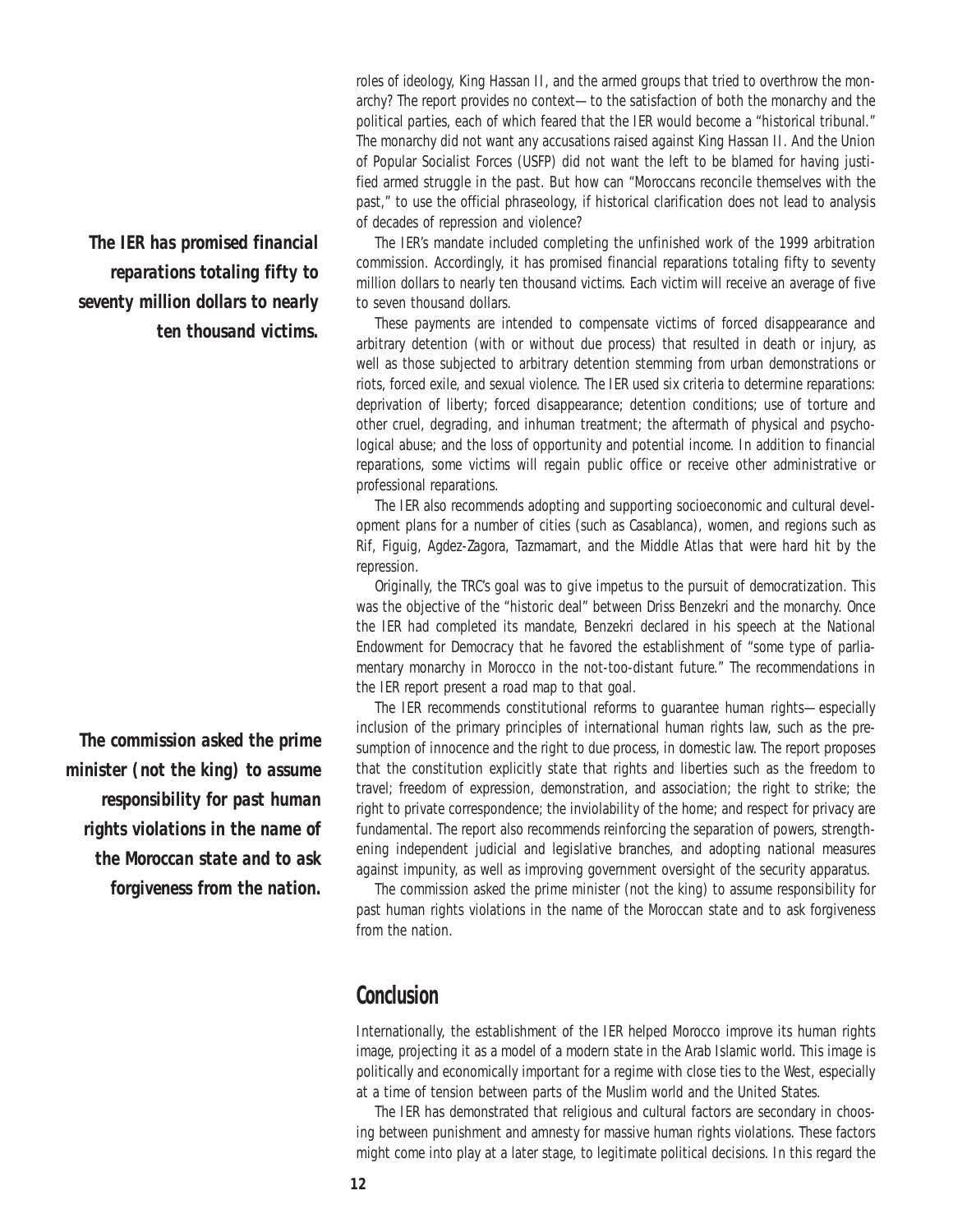roles of ideology, King Hassan II, and the armed groups that tried to overthrow the monarchy? The report provides no context-to the satisfaction of both the monarchy and the political parties, each of which feared that the IER would become a "historical tribunal." The monarchy did not want any accusations raised against King Hassan II. And the Union of Popular Socialist Forces (USFP) did not want the left to be blamed for having justified armed struggle in the past. But how can "Moroccans reconcile themselves with the past," to use the official phraseology, if historical clarification does not lead to analysis of decades of repression and violence?

The IER's mandate included completing the unfinished work of the 1999 arbitration commission. Accordingly, it has promised financial reparations totaling fifty to seventy million dollars to nearly ten thousand victims. Each victim will receive an average of five to seven thousand dollars.

These payments are intended to compensate victims of forced disappearance and arbitrary detention (with or without due process) that resulted in death or injury, as well as those subjected to arbitrary detention stemming from urban demonstrations or riots, forced exile, and sexual violence. The IER used six criteria to determine reparations: deprivation of liberty; forced disappearance; detention conditions; use of torture and other cruel, degrading, and inhuman treatment; the aftermath of physical and psychological abuse; and the loss of opportunity and potential income. In addition to financial reparations, some victims will regain public office or receive other administrative or professional reparations.

The IER also recommends adopting and supporting socioeconomic and cultural development plans for a number of cities (such as Casablanca), women, and regions such as Rif, Figuig, Agdez-Zagora, Tazmamart, and the Middle Atlas that were hard hit by the repression.

Originally, the TRC's goal was to give impetus to the pursuit of democratization. This was the objective of the "historic deal" between Driss Benzekri and the monarchy. Once the IER had completed its mandate, Benzekri declared in his speech at the National Endowment for Democracy that he favored the establishment of "some type of parliamentary monarchy in Morocco in the not-too-distant future." The recommendations in the IER report present a road map to that goal.

The IER recommends constitutional reforms to guarantee human rights—especially inclusion of the primary principles of international human rights law, such as the presumption of innocence and the right to due process, in domestic law. The report proposes that the constitution explicitly state that rights and liberties such as the freedom to travel; freedom of expression, demonstration, and association; the right to strike; the right to private correspondence; the inviolability of the home; and respect for privacy are fundamental. The report also recommends reinforcing the separation of powers, strengthening independent judicial and legislative branches, and adopting national measures against impunity, as well as improving government oversight of the security apparatus.

The commission asked the prime minister (not the king) to assume responsibility for past human rights violations in the name of the Moroccan state and to ask forgiveness from the nation.

### **Conclusion**

Internationally, the establishment of the IER helped Morocco improve its human rights image, projecting it as a model of a modern state in the Arab Islamic world. This image is politically and economically important for a regime with close ties to the West, especially at a time of tension between parts of the Muslim world and the United States.

The IER has demonstrated that religious and cultural factors are secondary in choosing between punishment and amnesty for massive human rights violations. These factors might come into play at a later stage, to legitimate political decisions. In this regard the

*The IER has promised financial reparations totaling fifty to seventy million dollars to nearly ten thousand victims.*

*The commission asked the prime minister (not the king) to assume responsibility for past human rights violations in the name of the Moroccan state and to ask forgiveness from the nation.*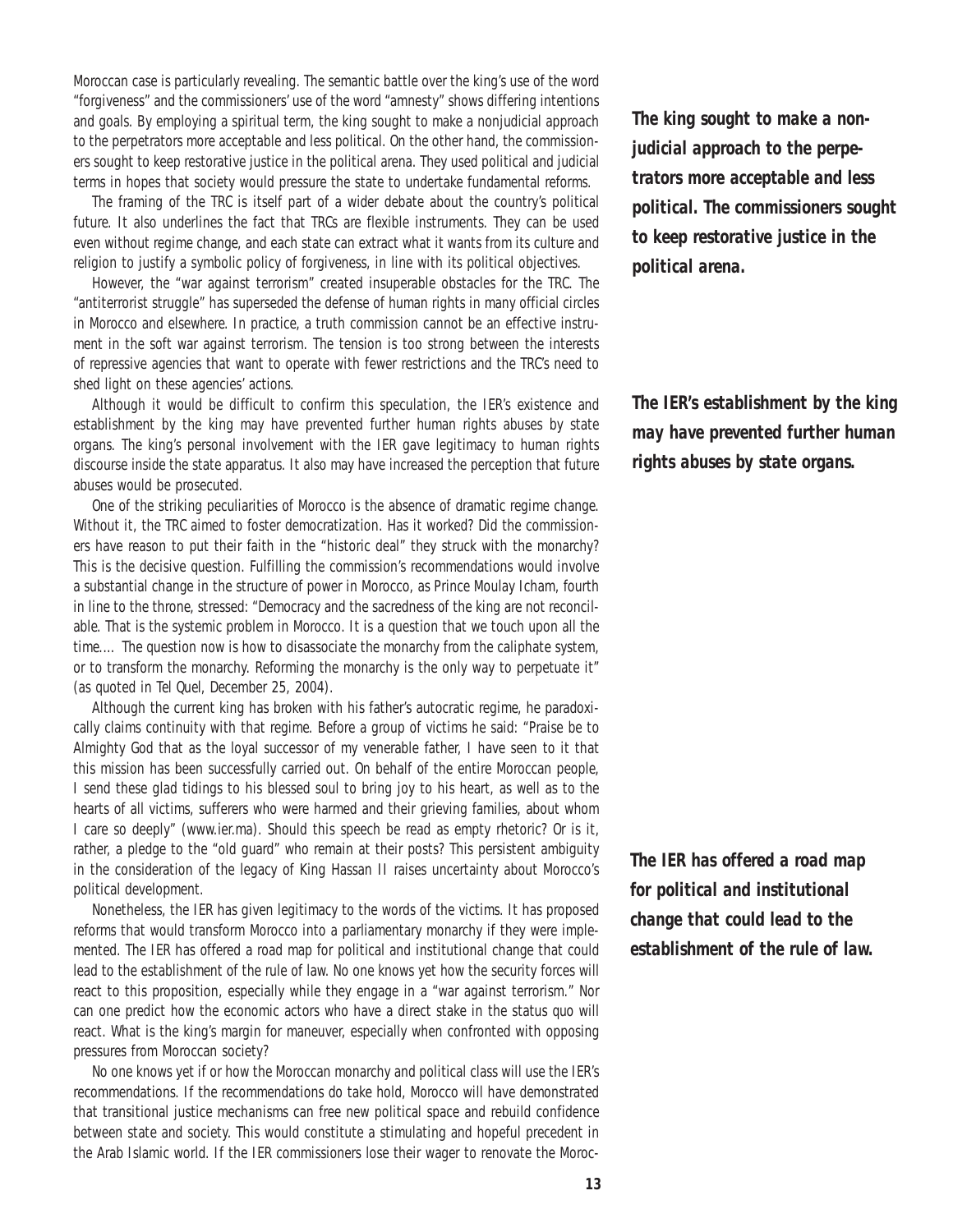Moroccan case is particularly revealing. The semantic battle over the king's use of the word "forgiveness" and the commissioners' use of the word "amnesty" shows differing intentions and goals. By employing a spiritual term, the king sought to make a nonjudicial approach to the perpetrators more acceptable and less political. On the other hand, the commissioners sought to keep restorative justice in the political arena. They used political and judicial terms in hopes that society would pressure the state to undertake fundamental reforms.

The framing of the TRC is itself part of a wider debate about the country's political future. It also underlines the fact that TRCs are flexible instruments. They can be used even without regime change, and each state can extract what it wants from its culture and religion to justify a symbolic policy of forgiveness, in line with its political objectives.

However, the "war against terrorism" created insuperable obstacles for the TRC. The "antiterrorist struggle" has superseded the defense of human rights in many official circles in Morocco and elsewhere. In practice, a truth commission cannot be an effective instrument in the soft war against terrorism. The tension is too strong between the interests of repressive agencies that want to operate with fewer restrictions and the TRC's need to shed light on these agencies' actions.

Although it would be difficult to confirm this speculation, the IER's existence and establishment by the king may have prevented further human rights abuses by state organs. The king's personal involvement with the IER gave legitimacy to human rights discourse inside the state apparatus. It also may have increased the perception that future abuses would be prosecuted.

One of the striking peculiarities of Morocco is the absence of dramatic regime change. Without it, the TRC aimed to foster democratization. Has it worked? Did the commissioners have reason to put their faith in the "historic deal" they struck with the monarchy? This is the decisive question. Fulfilling the commission's recommendations would involve a substantial change in the structure of power in Morocco, as Prince Moulay Icham, fourth in line to the throne, stressed: "Democracy and the sacredness of the king are not reconcilable. That is the systemic problem in Morocco. It is a question that we touch upon all the time.… The question now is how to disassociate the monarchy from the caliphate system, or to transform the monarchy. Reforming the monarchy is the only way to perpetuate it" (as quoted in *Tel Quel*, December 25, 2004).

Although the current king has broken with his father's autocratic regime, he paradoxically claims continuity with that regime. Before a group of victims he said: "Praise be to Almighty God that as the loyal successor of my venerable father, I have seen to it that this mission has been successfully carried out. On behalf of the entire Moroccan people, I send these glad tidings to his blessed soul to bring joy to his heart, as well as to the hearts of all victims, sufferers who were harmed and their grieving families, about whom I care so deeply" (www.ier.ma). Should this speech be read as empty rhetoric? Or is it, rather, a pledge to the "old guard" who remain at their posts? This persistent ambiguity in the consideration of the legacy of King Hassan II raises uncertainty about Morocco's political development.

Nonetheless, the IER has given legitimacy to the words of the victims. It has proposed reforms that would transform Morocco into a parliamentary monarchy if they were implemented. The IER has offered a road map for political and institutional change that could lead to the establishment of the rule of law. No one knows yet how the security forces will react to this proposition, especially while they engage in a "war against terrorism." Nor can one predict how the economic actors who have a direct stake in the status quo will react. What is the king's margin for maneuver, especially when confronted with opposing pressures from Moroccan society?

No one knows yet if or how the Moroccan monarchy and political class will use the IER's recommendations. If the recommendations do take hold, Morocco will have demonstrated that transitional justice mechanisms can free new political space and rebuild confidence between state and society. This would constitute a stimulating and hopeful precedent in the Arab Islamic world. If the IER commissioners lose their wager to renovate the Moroc-

*The king sought to make a nonjudicial approach to the perpetrators more acceptable and less political. The commissioners sought to keep restorative justice in the political arena.*

*The IER's establishment by the king may have prevented further human rights abuses by state organs.* 

*The IER has offered a road map for political and institutional change that could lead to the establishment of the rule of law.*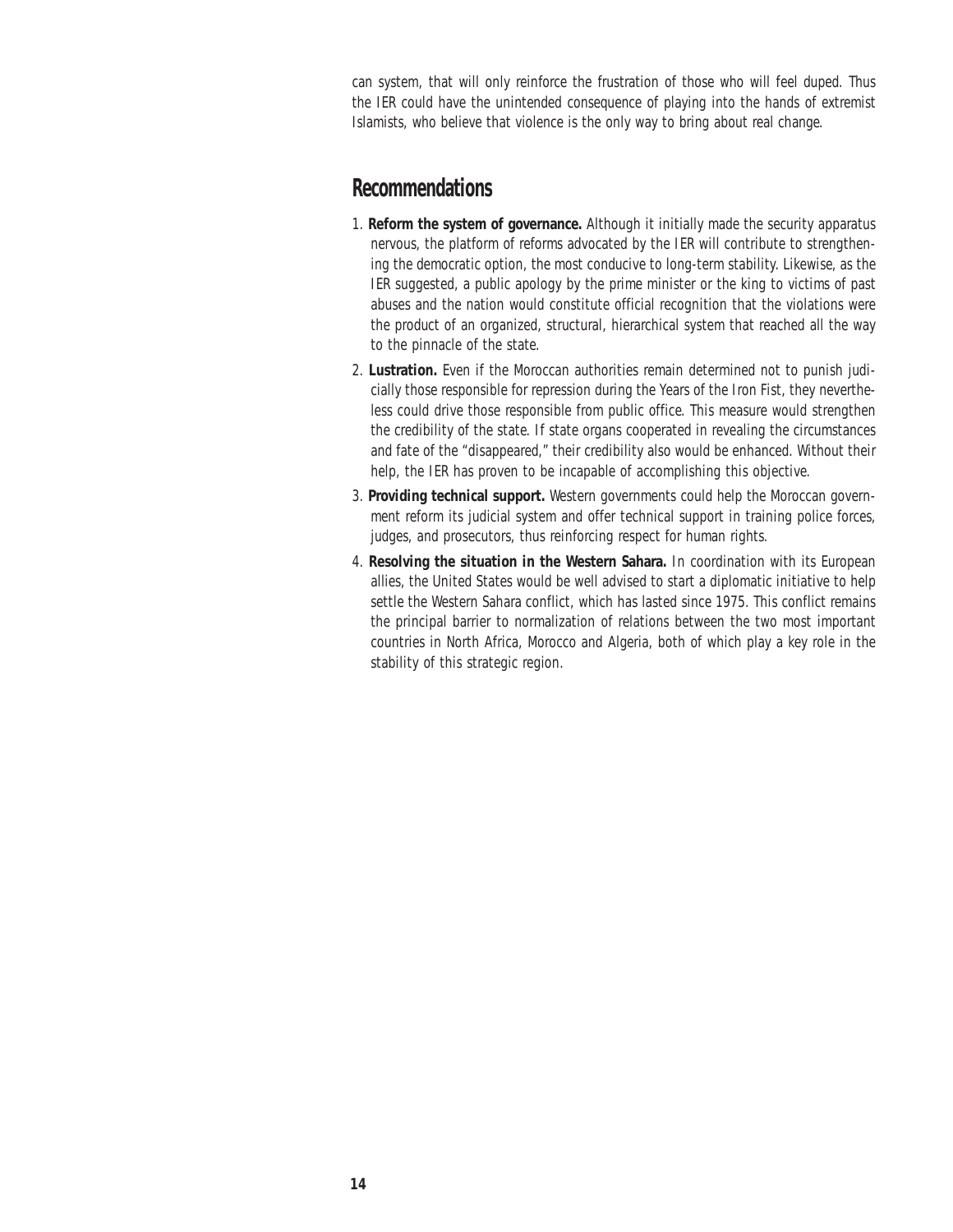can system, that will only reinforce the frustration of those who will feel duped. Thus the IER could have the unintended consequence of playing into the hands of extremist Islamists, who believe that violence is the only way to bring about real change.

#### **Recommendations**

- 1. **Reform the system of governance.** Although it initially made the security apparatus nervous, the platform of reforms advocated by the IER will contribute to strengthening the democratic option, the most conducive to long-term stability. Likewise, as the IER suggested, a public apology by the prime minister or the king to victims of past abuses and the nation would constitute official recognition that the violations were the product of an organized, structural, hierarchical system that reached all the way to the pinnacle of the state.
- 2. **Lustration.** Even if the Moroccan authorities remain determined not to punish judicially those responsible for repression during the Years of the Iron Fist, they nevertheless could drive those responsible from public office. This measure would strengthen the credibility of the state. If state organs cooperated in revealing the circumstances and fate of the "disappeared," their credibility also would be enhanced. Without their help, the IER has proven to be incapable of accomplishing this objective.
- 3. **Providing technical support.** Western governments could help the Moroccan government reform its judicial system and offer technical support in training police forces, judges, and prosecutors, thus reinforcing respect for human rights.
- 4. **Resolving the situation in the Western Sahara.** In coordination with its European allies, the United States would be well advised to start a diplomatic initiative to help settle the Western Sahara conflict, which has lasted since 1975. This conflict remains the principal barrier to normalization of relations between the two most important countries in North Africa, Morocco and Algeria, both of which play a key role in the stability of this strategic region.